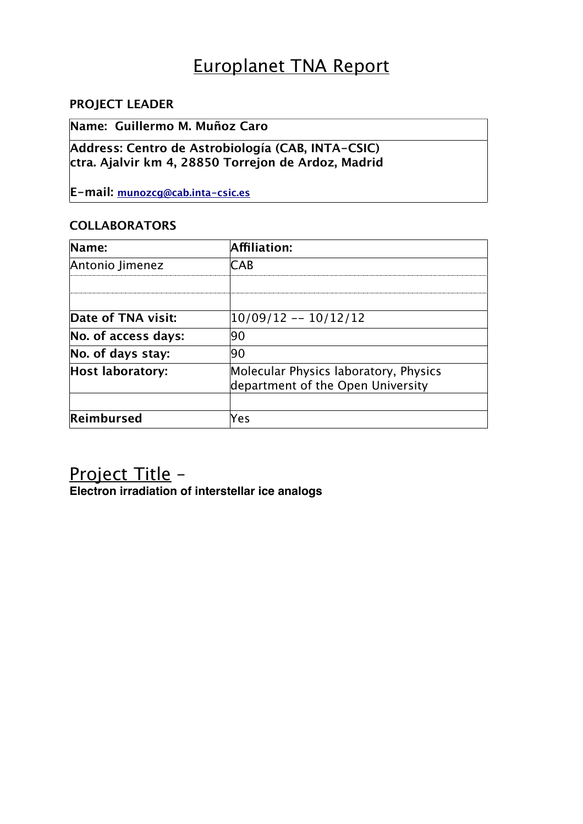# Europlanet TNA Report

### **PROJECT LEADER**

### **Name: Guillermo M. Muñoz Caro**

**Address: Centro de Astrobiología (CAB, INTA-CSIC) ctra. Ajalvir km 4, 28850 Torrejon de Ardoz, Madrid**

**E-mail: [munozcg@cab.inta-csic.es](mailto:munozcg@cab.inta-csic.es)**

#### **COLLABORATORS**

| Name:                   | Affiliation:                                                               |
|-------------------------|----------------------------------------------------------------------------|
| Antonio Jimenez         | CAR                                                                        |
|                         |                                                                            |
| Date of TNA visit:      | 10/09/12 -- 10/12/12                                                       |
| No. of access days:     | 90                                                                         |
| No. of days stay:       | 190                                                                        |
| <b>Host laboratory:</b> | Molecular Physics laboratory, Physics<br>department of the Open University |
| Reimbursed              | /es                                                                        |

## Project Title –

**Electron irradiation of interstellar ice analogs**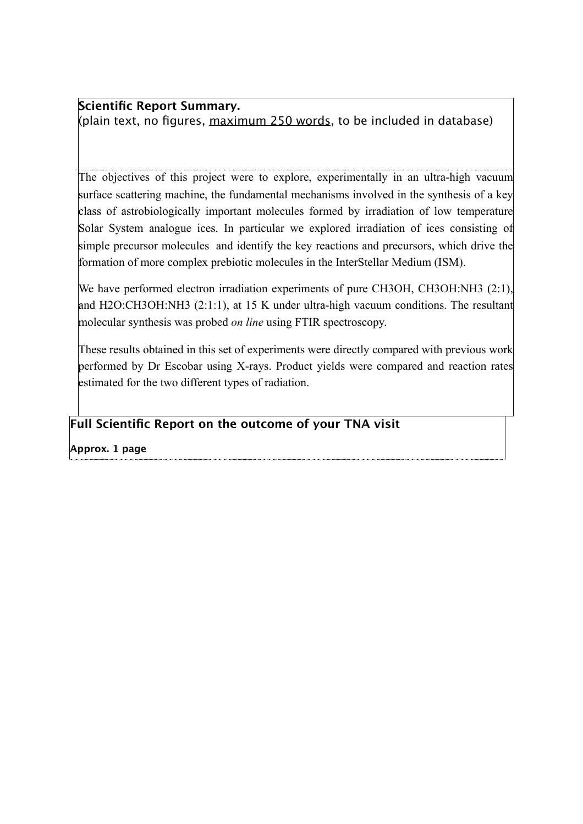**Scientific Report Summary.** (plain text, no figures,  $maximum\ 250\ words,$  to be included in database)

The objectives of this project were to explore, experimentally in an ultra-high vacuum surface scattering machine, the fundamental mechanisms involved in the synthesis of a key class of astrobiologically important molecules formed by irradiation of low temperature Solar System analogue ices. In particular we explored irradiation of ices consisting of simple precursor molecules and identify the key reactions and precursors, which drive the formation of more complex prebiotic molecules in the InterStellar Medium (ISM).

We have performed electron irradiation experiments of pure CH3OH, CH3OH:NH3 (2:1), and H2O:CH3OH:NH3 (2:1:1), at 15 K under ultra-high vacuum conditions. The resultant molecular synthesis was probed *on line* using FTIR spectroscopy.

These results obtained in this set of experiments were directly compared with previous work performed by Dr Escobar using X-rays. Product yields were compared and reaction rates estimated for the two different types of radiation.

### **Full Scientific Report on the outcome of your TNA visit**

**Approx. 1 page**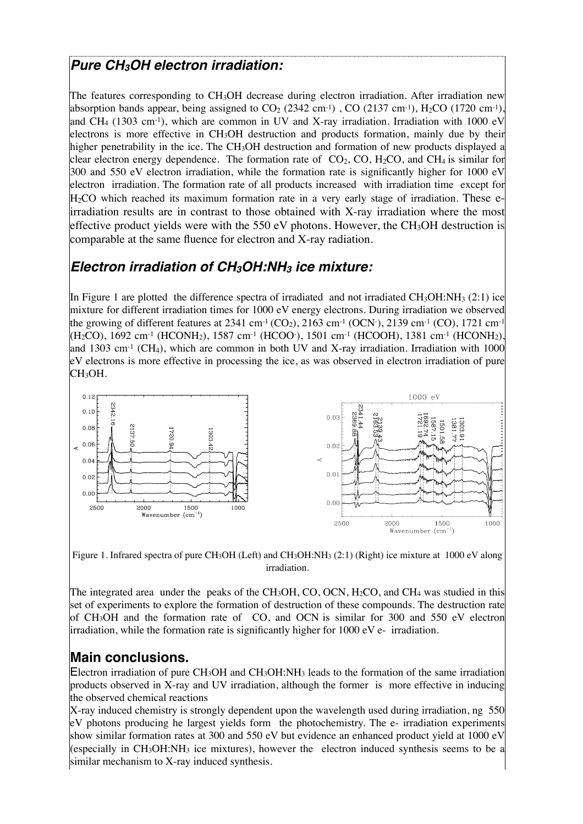## *Pure CH3OH electron irradiation:*

The features corresponding to CH3OH decrease during electron irradiation. After irradiation new absorption bands appear, being assigned to  $CO<sub>2</sub>$  (2342 cm<sup>-1</sup>), CO (2137 cm<sup>-1</sup>), H<sub>2</sub>CO (1720 cm<sup>-1</sup>), and CH<sub>4</sub> (1303 cm<sup>-1</sup>), which are common in UV and X-ray irradiation. Irradiation with 1000 eV electrons is more effective in CH3OH destruction and products formation, mainly due by their higher penetrability in the ice. The CH<sub>3</sub>OH destruction and formation of new products displayed a clear electron energy dependence. The formation rate of  $CO_2$ , CO, H<sub>2</sub>CO, and CH<sub>4</sub> is similar for 300 and 550 eV electron irradiation, while the formation rate is significantly higher for 1000 eV electron irradiation. The formation rate of all products increased with irradiation time except for  $H<sub>2</sub>CO$  which reached its maximum formation rate in a very early stage of irradiation. These eirradiation results are in contrast to those obtained with X-ray irradiation where the most effective product yields were with the 550 eV photons. However, the CH<sub>3</sub>OH destruction is comparable at the same fluence for electron and X-ray radiation.

## *Electron irradiation of CH3OH:NH3 ice mixture:*

In Figure 1 are plotted the difference spectra of irradiated and not irradiated CH<sub>3</sub>OH:NH<sub>3</sub> (2:1) ice mixture for different irradiation times for 1000 eV energy electrons. During irradiation we observed the growing of different features at 2341 cm<sup>-1</sup> (CO<sub>2</sub>), 2163 cm<sup>-1</sup> (OCN·), 2139 cm<sup>-1</sup> (CO), 1721 cm<sup>-1</sup>  $(H_2CO)$ , 1692 cm<sup>-1</sup> (HCONH<sub>2</sub>), 1587 cm<sup>-1</sup> (HCOO<sup>-</sup>), 1501 cm<sup>-1</sup> (HCOOH), 1381 cm<sup>-1</sup> (HCONH<sub>2</sub>), and 1303 cm<sup>-1</sup> (CH<sub>4</sub>), which are common in both UV and X-ray irradiation. Irradiation with 1000 eV electrons is more effective in processing the ice, as was observed in electron irradiation of pure CH<sub>3</sub>OH.



Figure 1. Infrared spectra of pure CH<sub>3</sub>OH (Left) and CH<sub>3</sub>OH:NH<sub>3</sub> (2:1) (Right) ice mixture at 1000 eV along irradiation.

The integrated area under the peaks of the CH<sub>3</sub>OH, CO, OCN, H<sub>2</sub>CO, and CH<sub>4</sub> was studied in this set of experiments to explore the formation of destruction of these compounds. The destruction rate of CH3OH and the formation rate of CO, and OCN is similar for 300 and 550 eV electron irradiation, while the formation rate is significantly higher for 1000 eV e- irradiation.

### **Main conclusions.**

Electron irradiation of pure CH<sub>3</sub>OH and CH<sub>3</sub>OH:NH<sub>3</sub> leads to the formation of the same irradiation products observed in X-ray and UV irradiation, although the former is more effective in inducing the observed chemical reactions

X-ray induced chemistry is strongly dependent upon the wavelength used during irradiation, ng 550 eV photons producing he largest yields form the photochemistry. The e- irradiation experiments show similar formation rates at 300 and 550 eV but evidence an enhanced product yield at 1000 eV (especially in CH<sub>3</sub>OH:NH<sub>3</sub> ice mixtures), however the electron induced synthesis seems to be a similar mechanism to X-ray induced synthesis.